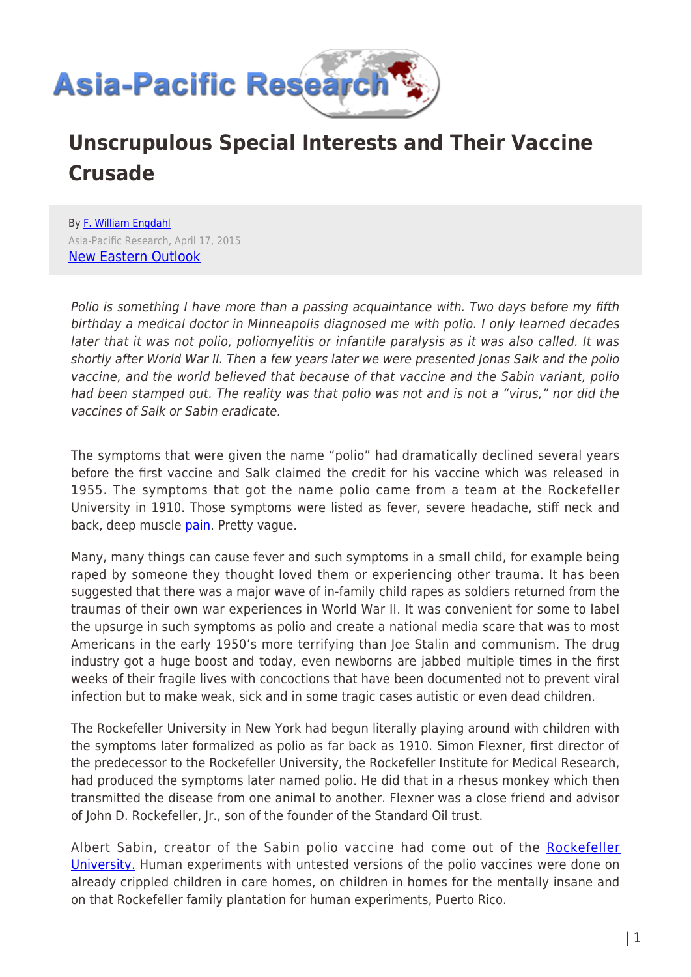

# **Unscrupulous Special Interests and Their Vaccine Crusade**

By [F. William Engdahl](https://www.asia-pacificresearch.com/author/f-william-engdahl) Asia-Pacific Research, April 17, 2015 [New Eastern Outlook](http://journal-neo.org/2015/04/06/polio-or-something-more-sinister/)

Polio is something I have more than a passing acquaintance with. Two days before my fifth birthday a medical doctor in Minneapolis diagnosed me with polio. I only learned decades later that it was not polio, poliomyelitis or infantile paralysis as it was also called. It was shortly after World War II. Then a few years later we were presented Jonas Salk and the polio vaccine, and the world believed that because of that vaccine and the Sabin variant, polio had been stamped out. The reality was that polio was not and is not a "virus," nor did the vaccines of Salk or Sabin eradicate.

The symptoms that were given the name "polio" had dramatically declined several years before the first vaccine and Salk claimed the credit for his vaccine which was released in 1955. The symptoms that got the name polio came from a team at the Rockefeller University in 1910. Those symptoms were listed as fever, severe headache, stiff neck and back, deep muscle [pain.](http://journal-neo.org/2015/04/06/polio-or-something-more-sinister/%20http://www.medicinenet.com/script/main/art.asp?articlekey=3968) Pretty vague.

Many, many things can cause fever and such symptoms in a small child, for example being raped by someone they thought loved them or experiencing other trauma. It has been suggested that there was a major wave of in-family child rapes as soldiers returned from the traumas of their own war experiences in World War II. It was convenient for some to label the upsurge in such symptoms as polio and create a national media scare that was to most Americans in the early 1950's more terrifying than Joe Stalin and communism. The drug industry got a huge boost and today, even newborns are jabbed multiple times in the first weeks of their fragile lives with concoctions that have been documented not to prevent viral infection but to make weak, sick and in some tragic cases autistic or even dead children.

The Rockefeller University in New York had begun literally playing around with children with the symptoms later formalized as polio as far back as 1910. Simon Flexner, first director of the predecessor to the Rockefeller University, the Rockefeller Institute for Medical Research, had produced the symptoms later named polio. He did that in a rhesus monkey which then transmitted the disease from one animal to another. Flexner was a close friend and advisor of John D. Rockefeller, Jr., son of the founder of the Standard Oil trust.

Albert Sabin, creator of the Sabin polio vaccine had come out of the [Rockefeller](http://en.wikipedia.org/wiki/Albert_Sabin) [University.](http://en.wikipedia.org/wiki/Albert_Sabin) Human experiments with untested versions of the polio vaccines were done on already crippled children in care homes, on children in homes for the mentally insane and on that Rockefeller family plantation for human experiments, Puerto Rico.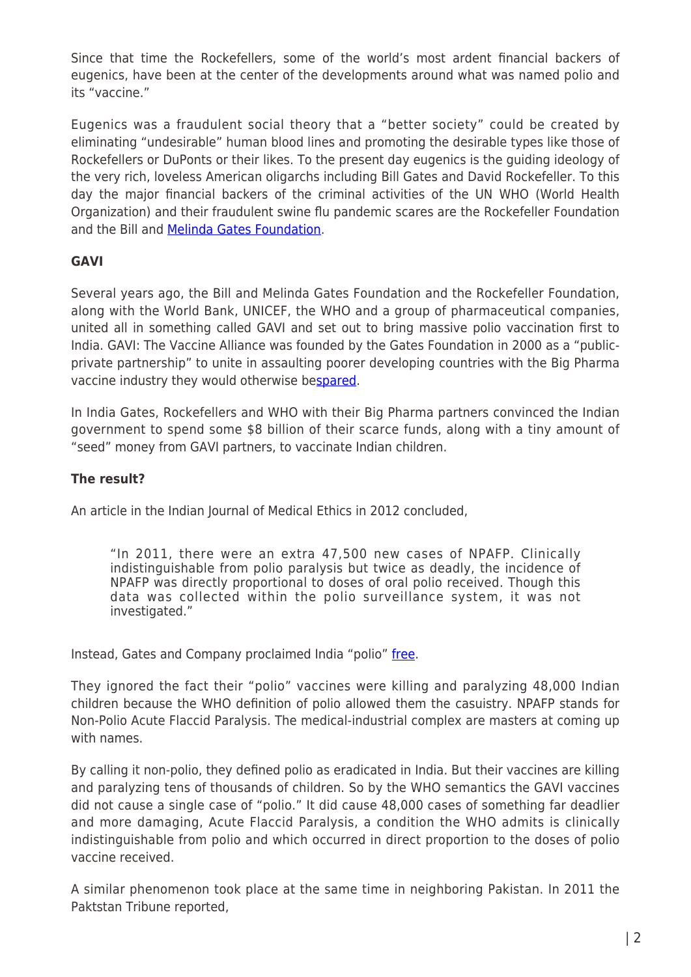Since that time the Rockefellers, some of the world's most ardent financial backers of eugenics, have been at the center of the developments around what was named polio and its "vaccine."

Eugenics was a fraudulent social theory that a "better society" could be created by eliminating "undesirable" human blood lines and promoting the desirable types like those of Rockefellers or DuPonts or their likes. To the present day eugenics is the guiding ideology of the very rich, loveless American oligarchs including Bill Gates and David Rockefeller. To this day the major financial backers of the criminal activities of the UN WHO (World Health Organization) and their fraudulent swine flu pandemic scares are the Rockefeller Foundation and the Bill and [Melinda Gates Foundation.](https://en.wikipedia.org/wiki/World_Health_Organization#Partnerships)

### **GAVI**

Several years ago, the Bill and Melinda Gates Foundation and the Rockefeller Foundation, along with the World Bank, UNICEF, the WHO and a group of pharmaceutical companies, united all in something called GAVI and set out to bring massive polio vaccination first to India. GAVI: The Vaccine Alliance was founded by the Gates Foundation in 2000 as a "publicprivate partnership" to unite in assaulting poorer developing countries with the Big Pharma vaccine industry they would otherwise be[spared](http://journal-neo.org/2015/04/06/polio-or-something-more-sinister/%20http://www.gavi.org/funding/financial-reports/).

In India Gates, Rockefellers and WHO with their Big Pharma partners convinced the Indian government to spend some \$8 billion of their scarce funds, along with a tiny amount of "seed" money from GAVI partners, to vaccinate Indian children.

### **The result?**

An article in the Indian Journal of Medical Ethics in 2012 concluded,

"In 2011, there were an extra 47,500 new cases of NPAFP. Clinically indistinguishable from polio paralysis but twice as deadly, the incidence of NPAFP was directly proportional to doses of oral polio received. Though this data was collected within the polio surveillance system, it was not investigated."

Instead, Gates and Company proclaimed India "polio" [free.](http://www.ncbi.nlm.nih.gov/pubmed/22591873)

They ignored the fact their "polio" vaccines were killing and paralyzing 48,000 Indian children because the WHO definition of polio allowed them the casuistry. NPAFP stands for Non-Polio Acute Flaccid Paralysis. The medical-industrial complex are masters at coming up with names.

By calling it non-polio, they defined polio as eradicated in India. But their vaccines are killing and paralyzing tens of thousands of children. So by the WHO semantics the GAVI vaccines did not cause a single case of "polio." It did cause 48,000 cases of something far deadlier and more damaging, Acute Flaccid Paralysis, a condition the WHO admits is clinically indistinguishable from polio and which occurred in direct proportion to the doses of polio vaccine received.

A similar phenomenon took place at the same time in neighboring Pakistan. In 2011 the Paktstan Tribune reported,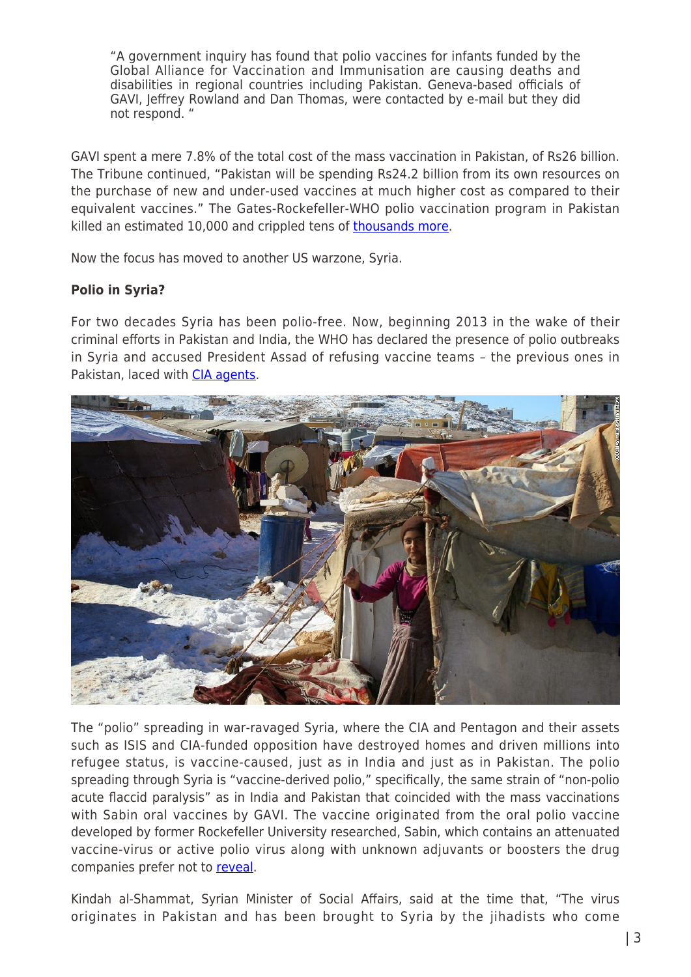"A government inquiry has found that polio vaccines for infants funded by the Global Alliance for Vaccination and Immunisation are causing deaths and disabilities in regional countries including Pakistan. Geneva-based officials of GAVI, Jeffrey Rowland and Dan Thomas, were contacted by e-mail but they did not respond. "

GAVI spent a mere 7.8% of the total cost of the mass vaccination in Pakistan, of Rs26 billion. The Tribune continued, "Pakistan will be spending Rs24.2 billion from its own resources on the purchase of new and under-used vaccines at much higher cost as compared to their equivalent vaccines." The Gates-Rockefeller-WHO polio vaccination program in Pakistan killed an estimated 10,000 and crippled tens of [thousands more.](http://tribune.com.pk/story/293191/vaccine-nation-globally-supported-company-is-funding-fatal-polio-shots)

Now the focus has moved to another US warzone, Syria.

### **Polio in Syria?**

For two decades Syria has been polio-free. Now, beginning 2013 in the wake of their criminal efforts in Pakistan and India, the WHO has declared the presence of polio outbreaks in Syria and accused President Assad of refusing vaccine teams – the previous ones in Pakistan, laced with [CIA agents](http://abcnews.go.com/health/syria-sees-signs-polio-resurgence/story?id=20637029).



The "polio" spreading in war-ravaged Syria, where the CIA and Pentagon and their assets such as ISIS and CIA-funded opposition have destroyed homes and driven millions into refugee status, is vaccine-caused, just as in India and just as in Pakistan. The polio spreading through Syria is "vaccine-derived polio," specifically, the same strain of "non-polio acute flaccid paralysis" as in India and Pakistan that coincided with the mass vaccinations with Sabin oral vaccines by GAVI. The vaccine originated from the oral polio vaccine developed by former Rockefeller University researched, Sabin, which contains an attenuated vaccine-virus or active polio virus along with unknown adjuvants or boosters the drug companies prefer not to [reveal](http://www.occupycorporatism.com/home/the-shocking-truth-about-syrian-polio-resurgence-regime-change/).

Kindah al-Shammat, Syrian Minister of Social Affairs, said at the time that, "The virus originates in Pakistan and has been brought to Syria by the jihadists who come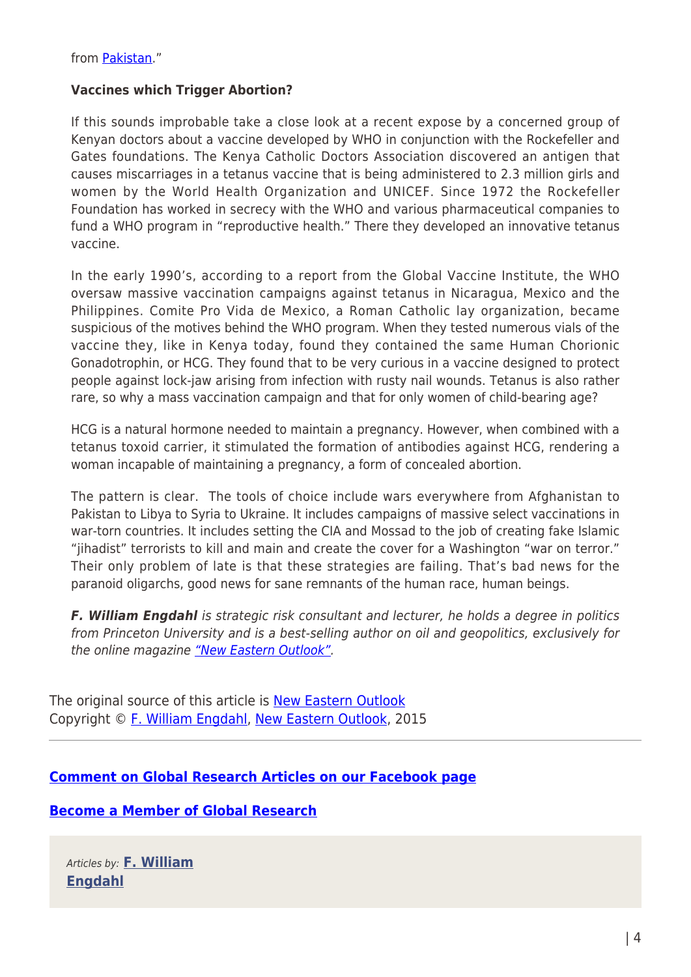from [Pakistan](http://www.occupycorporatism.com/home/the-shocking-truth-about-syrian-polio-resurgence-regime-change/)."

#### **Vaccines which Trigger Abortion?**

If this sounds improbable take a close look at a recent expose by a concerned group of Kenyan doctors about a vaccine developed by WHO in conjunction with the Rockefeller and Gates foundations. The Kenya Catholic Doctors Association discovered an antigen that causes miscarriages in a tetanus vaccine that is being administered to 2.3 million girls and women by the World Health Organization and UNICEF. Since 1972 the Rockefeller Foundation has worked in secrecy with the WHO and various pharmaceutical companies to fund a WHO program in "reproductive health." There they developed an innovative tetanus vaccine.

In the early 1990's, according to a report from the Global Vaccine Institute, the WHO oversaw massive vaccination campaigns against tetanus in Nicaragua, Mexico and the Philippines. Comite Pro Vida de Mexico, a Roman Catholic lay organization, became suspicious of the motives behind the WHO program. When they tested numerous vials of the vaccine they, like in Kenya today, found they contained the same Human Chorionic Gonadotrophin, or HCG. They found that to be very curious in a vaccine designed to protect people against lock-jaw arising from infection with rusty nail wounds. Tetanus is also rather rare, so why a mass vaccination campaign and that for only women of child-bearing age?

HCG is a natural hormone needed to maintain a pregnancy. However, when combined with a tetanus toxoid carrier, it stimulated the formation of antibodies against HCG, rendering a woman incapable of maintaining a pregnancy, a form of concealed abortion.

The pattern is clear. The tools of choice include wars everywhere from Afghanistan to Pakistan to Libya to Syria to Ukraine. It includes campaigns of massive select vaccinations in war-torn countries. It includes setting the CIA and Mossad to the job of creating fake Islamic "jihadist" terrorists to kill and main and create the cover for a Washington "war on terror." Their only problem of late is that these strategies are failing. That's bad news for the paranoid oligarchs, good news for sane remnants of the human race, human beings.

*F. William Engdahl* is strategic risk consultant and lecturer, he holds a degree in politics from Princeton University and is a best-selling author on oil and geopolitics, exclusively for the online magazine ["New Eastern Outlook".](http://journal-neo.org/)

The original source of this article is **[New Eastern Outlook](http://journal-neo.org/2015/04/06/polio-or-something-more-sinister/)** Copyright © [F. William Engdahl](https://www.asia-pacificresearch.com/author/f-william-engdahl), [New Eastern Outlook,](http://journal-neo.org/2015/04/06/polio-or-something-more-sinister/) 2015

# **[Comment on Global Research Articles on our Facebook page](https://www.facebook.com/GlobalResearchCRG)**

# **[Become a Member of Global Research](https://store.globalresearch.ca/member/)**

Articles by: **[F. William](https://www.asia-pacificresearch.com/author/f-william-engdahl) [Engdahl](https://www.asia-pacificresearch.com/author/f-william-engdahl)**